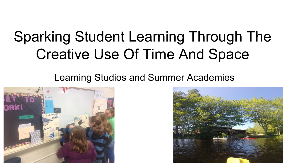# Sparking Student Learning Through The Creative Use Of Time And Space

#### Learning Studios and Summer Academies



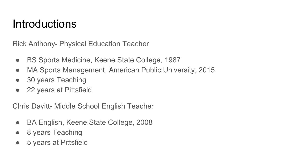## Introductions

Rick Anthony- Physical Education Teacher

- BS Sports Medicine, Keene State College, 1987
- MA Sports Management, American Public University, 2015
- 30 years Teaching
- 22 years at Pittsfield

Chris Davitt- Middle School English Teacher

- BA English, Keene State College, 2008
- 8 years Teaching
- 5 years at Pittsfield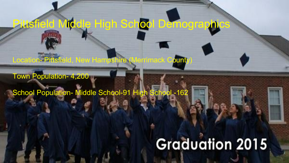Location- Pittsfield, New Hampshire (Merrimack County

Pittsfield Middle High School Demographics

Town Population- 4,200

School Population- Middle School-91 High School -162

# **Graduation 2015**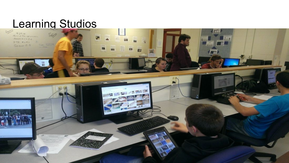# Learning Studios

Sept 2

 $929.14$ <br>Record of the natural seconds  $Problem 5-1 + 5-3$  $712 + -11$ **MANITER** Go over 5-5

 $1/1782$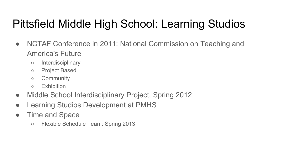# Pittsfield Middle High School: Learning Studios

- NCTAF Conference in 2011: National Commission on Teaching and America's Future
	- Interdisciplinary
	- Project Based
	- Community
	- Exhibition
- Middle School Interdisciplinary Project, Spring 2012
- Learning Studios Development at PMHS
- Time and Space
	- Flexible Schedule Team: Spring 2013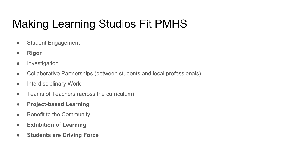# Making Learning Studios Fit PMHS

- Student Engagement
- **● Rigor**
- **•** Investigation
- Collaborative Partnerships (between students and local professionals)
- Interdisciplinary Work
- Teams of Teachers (across the curriculum)
- **● Project-based Learning**
- Benefit to the Community
- **● Exhibition of Learning**
- **● Students are Driving Force**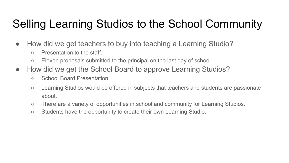# Selling Learning Studios to the School Community

- How did we get teachers to buy into teaching a Learning Studio?
	- Presentation to the staff.
	- Eleven proposals submitted to the principal on the last day of school
- How did we get the School Board to approve Learning Studios?
	- School Board Presentation
	- Learning Studios would be offered in subjects that teachers and students are passionate about.
	- There are a variety of opportunities in school and community for Learning Studios.
	- Students have the opportunity to create their own Learning Studio.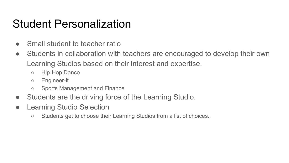### Student Personalization

- Small student to teacher ratio
- Students in collaboration with teachers are encouraged to develop their own Learning Studios based on their interest and expertise.
	- Hip-Hop Dance
	- Engineer-it
	- Sports Management and Finance
- Students are the driving force of the Learning Studio.
- Learning Studio Selection
	- Students get to choose their Learning Studios from a list of choices..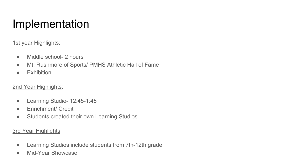# Implementation

#### 1st year Highlights:

- Middle school- 2 hours
- Mt. Rushmore of Sports/ PMHS Athletic Hall of Fame
- **•** Exhibition

#### 2nd Year Highlights:

- Learning Studio- 12:45-1:45
- Enrichment/ Credit
- Students created their own Learning Studios

#### 3rd Year Highlights

- Learning Studios include students from 7th-12th grade
- Mid-Year Showcase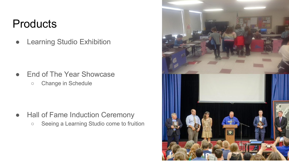#### **Products**

● Learning Studio Exhibition

● End of The Year Showcase ○ Change in Schedule

- Hall of Fame Induction Ceremony
	- Seeing a Learning Studio come to fruition

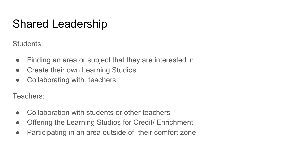# Shared Leadership

Students:

- Finding an area or subject that they are interested in
- Create their own Learning Studios
- Collaborating with teachers

Teachers:

- Collaboration with students or other teachers
- Offering the Learning Studios for Credit/ Enrichment
- Participating in an area outside of their comfort zone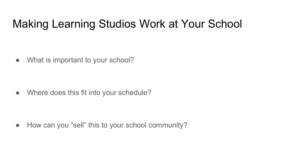## Making Learning Studios Work at Your School

• What is important to your school?

• Where does this fit into your schedule?

• How can you "sell" this to your school community?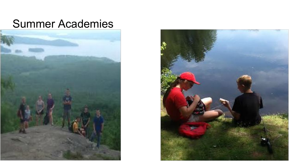#### Summer Academies



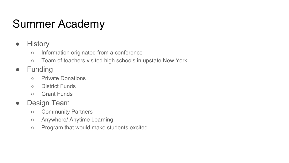# Summer Academy

- History
	- Information originated from a conference
	- Team of teachers visited high schools in upstate New York
- Funding
	- Private Donations
	- District Funds
	- Grant Funds
- Design Team
	- Community Partners
	- Anywhere/ Anytime Learning
	- Program that would make students excited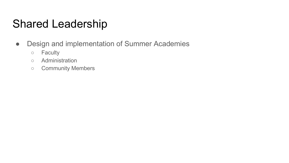# Shared Leadership

- Design and implementation of Summer Academies
	- Faculty
	- Administration
	- Community Members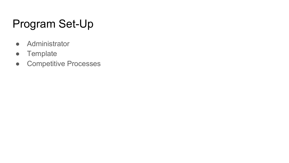# Program Set-Up

- Administrator
- Template
- Competitive Processes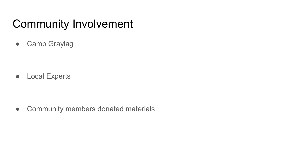# Community Involvement

● Camp Graylag

● Local Experts

• Community members donated materials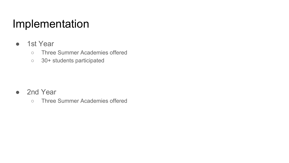## Implementation

- 1st Year
	- Three Summer Academies offered
	- 30+ students participated

- 2nd Year
	- Three Summer Academies offered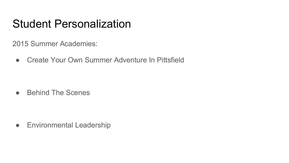### Student Personalization

2015 Summer Academies:

● Create Your Own Summer Adventure In Pittsfield

● Behind The Scenes

**•** Environmental Leadership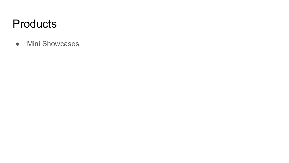#### **Products**

● Mini Showcases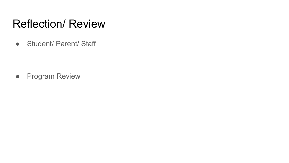## Reflection/ Review

● Student/ Parent/ Staff

● Program Review